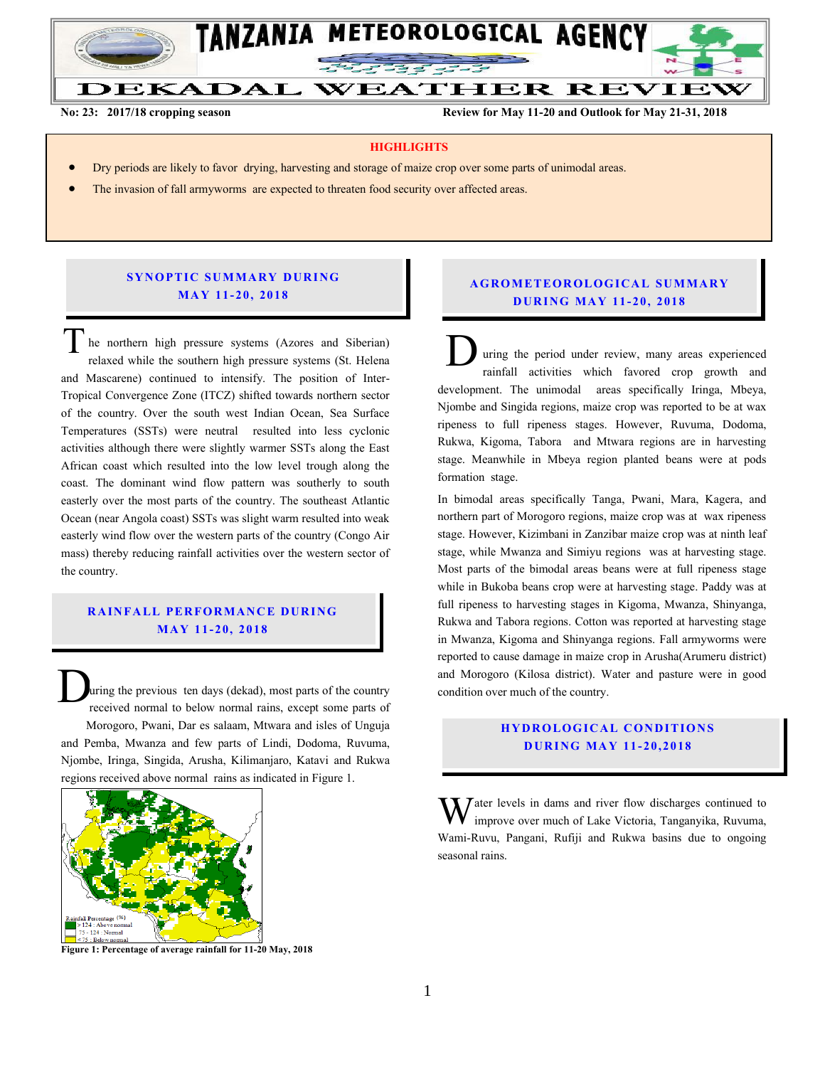

**No: 23: 2017/18 cropping season Review for May 11-20 and Outlook for May 21-31, 2018**

#### **HIGHLIGHTS**

- Dry periods are likely to favor drying, harvesting and storage of maize crop over some parts of unimodal areas.
- The invasion of fall armyworms are expected to threaten food security over affected areas.

### **SYNOPTIC SUMMARY DURING MA Y 11- 20, 201 8**

he northern high pressure systems (Azores and Siberian) relaxed while the southern high pressure systems (St. Helena and Mascarene) continued to intensify. The position of Inter-Tropical Convergence Zone (ITCZ) shifted towards northern sector of the country. Over the south west Indian Ocean, Sea Surface Temperatures (SSTs) were neutral resulted into less cyclonic activities although there were slightly warmer SSTs along the East African coast which resulted into the low level trough along the coast. The dominant wind flow pattern was southerly to south easterly over the most parts of the country. The southeast Atlantic Ocean (near Angola coast) SSTs was slight warm resulted into weak easterly wind flow over the western parts of the country (Congo Air mass) thereby reducing rainfall activities over the western sector of the country. The northern high pressure systems (Azores and Siberian)<br>relaxed while the southern high pressure systems (St. Helena<br>and Mascarene) continued to intensify. The position of Inter-

## **RAINFALL PERFORMANCE DURING MA Y 11- 20, 201 8**

uring the previous ten days (dekad), most parts of the country received normal to below normal rains, except some parts of Morogoro, Pwani, Dar es salaam, Mtwara and isles of Unguja and Pemba, Mwanza and few parts of Lindi, Dodoma, Ruvuma, Njombe, Iringa, Singida, Arusha, Kilimanjaro, Katavi and Rukwa regions received above normal rains as indicated in Figure 1.  $\mathbf{D}_{\mathrm{p}}$ 



**Figure 1: Percentage of average rainfall for 11-20 May, 2018**

### **A G RO METEO R O LOG ICA L SU MMARY D UR ING MA Y 11- 20, 2018**

uring the period under review, many areas experienced rainfall activities which favored crop growth and development. The unimodal areas specifically Iringa, Mbeya, Njombe and Singida regions, maize crop was reported to be at wax ripeness to full ripeness stages. However, Ruvuma, Dodoma, Rukwa, Kigoma, Tabora and Mtwara regions are in harvesting stage. Meanwhile in Mbeya region planted beans were at pods formation stage.

In bimodal areas specifically Tanga, Pwani, Mara, Kagera, and northern part of Morogoro regions, maize crop was at wax ripeness stage. However, Kizimbani in Zanzibar maize crop was at ninth leaf stage, while Mwanza and Simiyu regions was at harvesting stage. Most parts of the bimodal areas beans were at full ripeness stage while in Bukoba beans crop were at harvesting stage. Paddy was at full ripeness to harvesting stages in Kigoma, Mwanza, Shinyanga, Rukwa and Tabora regions. Cotton was reported at harvesting stage in Mwanza, Kigoma and Shinyanga regions. Fall armyworms were reported to cause damage in maize crop in Arusha(Arumeru district) and Morogoro (Kilosa district). Water and pasture were in good condition over much of the country.

## **HYDROLOGICAL CONDITIONS D UR ING MA Y 11- 2 0, 2018**

Water levels in dams and river flow discharges continued to improve over much of Lake Victoria, Tanganyika, Ruvuma, improve over much of Lake Victoria, Tanganyika, Ruvuma, Wami-Ruvu, Pangani, Rufiji and Rukwa basins due to ongoing seasonal rains.